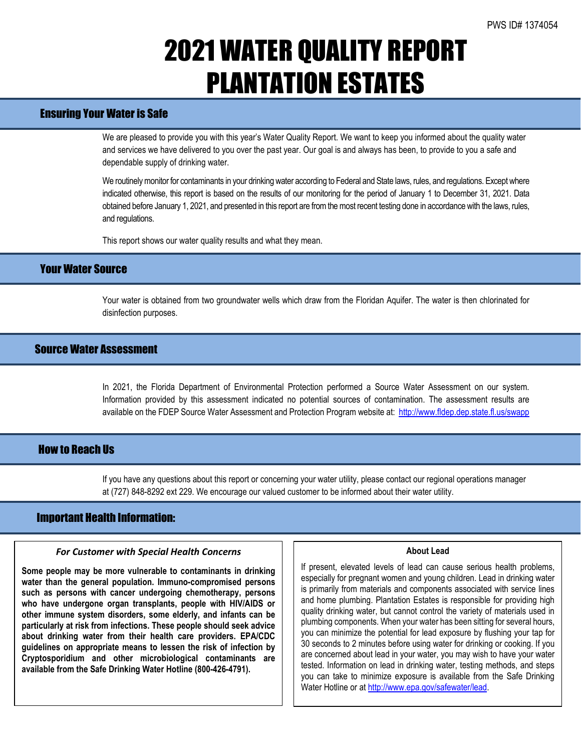# 2021 WATER QUALITY REPORT PLANTATION ESTATES

# Ensuring Your Water is Safe

We are pleased to provide you with this year's Water Quality Report. We want to keep you informed about the quality water and services we have delivered to you over the past year. Our goal is and always has been, to provide to you a safe and dependable supply of drinking water.

We routinely monitor for contaminants in your drinking water according to Federal and State laws, rules, and regulations. Except where indicated otherwise, this report is based on the results of our monitoring for the period of January 1 to December 31, 2021. Data obtained before January 1, 2021, and presented in this report are from the most recent testing done in accordance with the laws, rules, and regulations.

This report shows our water quality results and what they mean.

## Your Water Source

Your water is obtained from two groundwater wells which draw from the Floridan Aquifer. The water is then chlorinated for disinfection purposes.

## Source Water Assessment

In 2021, the Florida Department of Environmental Protection performed a Source Water Assessment on our system. Information provided by this assessment indicated no potential sources of contamination. The assessment results are available on the FDEP Source Water Assessment and Protection Program website at:<http://www.fldep.dep.state.fl.us/swapp>

## **How to Reach IIs**

If you have any questions about this report or concerning your water utility, please contact our regional operations manager at (727) 848-8292 ext 229. We encourage our valued customer to be informed about their water utility.

## Important Health Information:

l

### *For Customer with Special Health Concerns*

**Some people may be more vulnerable to contaminants in drinking water than the general population. Immuno-compromised persons such as persons with cancer undergoing chemotherapy, persons who have undergone organ transplants, people with HIV/AIDS or other immune system disorders, some elderly, and infants can be particularly at risk from infections. These people should seek advice about drinking water from their health care providers. EPA/CDC guidelines on appropriate means to lessen the risk of infection by Cryptosporidium and other microbiological contaminants are available from the Safe Drinking Water Hotline (800-426-4791).**

#### **About Lead**

If present, elevated levels of lead can cause serious health problems, especially for pregnant women and young children. Lead in drinking water is primarily from materials and components associated with service lines and home plumbing. Plantation Estates is responsible for providing high quality drinking water, but cannot control the variety of materials used in plumbing components. When your water has been sitting for several hours, you can minimize the potential for lead exposure by flushing your tap for 30 seconds to 2 minutes before using water for drinking or cooking. If you are concerned about lead in your water, you may wish to have your water tested. Information on lead in drinking water, testing methods, and steps you can take to minimize exposure is available from the Safe Drinking Water Hotline or at [http://www.epa.gov/safewater/lead.](http://www.epa.gov/safewater/lead)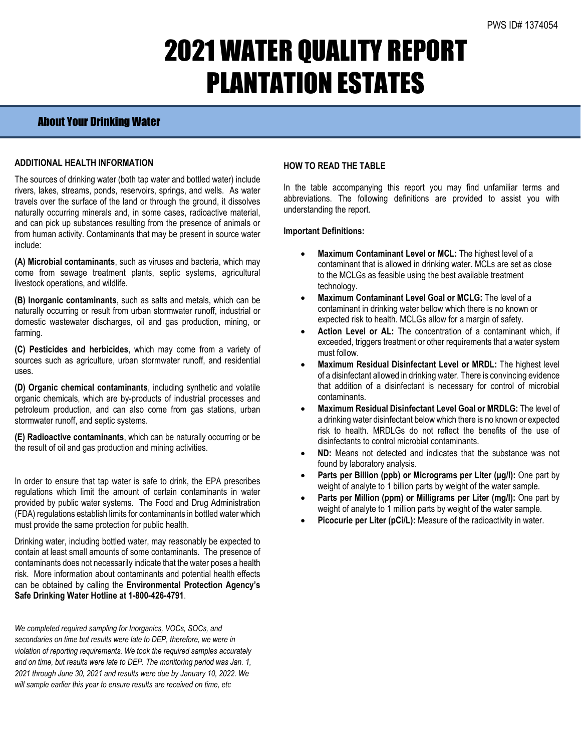# 2021 WATER QUALITY REPORT PLANTATION ESTATES

# About Your Drinking Water

### **ADDITIONAL HEALTH INFORMATION**

The sources of drinking water (both tap water and bottled water) include rivers, lakes, streams, ponds, reservoirs, springs, and wells. As water travels over the surface of the land or through the ground, it dissolves naturally occurring minerals and, in some cases, radioactive material, and can pick up substances resulting from the presence of animals or from human activity. Contaminants that may be present in source water include:

**(A) Microbial contaminants**, such as viruses and bacteria, which may come from sewage treatment plants, septic systems, agricultural livestock operations, and wildlife.

**(B) Inorganic contaminants**, such as salts and metals, which can be naturally occurring or result from urban stormwater runoff, industrial or domestic wastewater discharges, oil and gas production, mining, or farming.

**(C) Pesticides and herbicides**, which may come from a variety of sources such as agriculture, urban stormwater runoff, and residential uses.

**(D) Organic chemical contaminants**, including synthetic and volatile organic chemicals, which are by-products of industrial processes and petroleum production, and can also come from gas stations, urban stormwater runoff, and septic systems.

**(E) Radioactive contaminants**, which can be naturally occurring or be the result of oil and gas production and mining activities.

In order to ensure that tap water is safe to drink, the EPA prescribes regulations which limit the amount of certain contaminants in water provided by public water systems. The Food and Drug Administration (FDA) regulations establish limits for contaminants in bottled water which must provide the same protection for public health.

Drinking water, including bottled water, may reasonably be expected to contain at least small amounts of some contaminants. The presence of contaminants does not necessarily indicate that the water poses a health risk. More information about contaminants and potential health effects can be obtained by calling the **Environmental Protection Agency's Safe Drinking Water Hotline at 1-800-426-4791**.

*We completed required sampling for Inorganics, VOCs, SOCs, and secondaries on time but results were late to DEP, therefore, we were in violation of reporting requirements. We took the required samples accurately and on time, but results were late to DEP. The monitoring period was Jan. 1, 2021 through June 30, 2021 and results were due by January 10, 2022. We will sample earlier this year to ensure results are received on time, etc*

## **HOW TO READ THE TABLE**

In the table accompanying this report you may find unfamiliar terms and abbreviations. The following definitions are provided to assist you with understanding the report.

### **Important Definitions:**

- **Maximum Contaminant Level or MCL:** The highest level of a contaminant that is allowed in drinking water. MCLs are set as close to the MCLGs as feasible using the best available treatment technology.
- **Maximum Contaminant Level Goal or MCLG:** The level of a contaminant in drinking water bellow which there is no known or expected risk to health. MCLGs allow for a margin of safety.
- Action Level or AL: The concentration of a contaminant which, if exceeded, triggers treatment or other requirements that a water system must follow.
- **Maximum Residual Disinfectant Level or MRDL:** The highest level of a disinfectant allowed in drinking water. There is convincing evidence that addition of a disinfectant is necessary for control of microbial contaminants.
- **Maximum Residual Disinfectant Level Goal or MRDLG:** The level of a drinking water disinfectant below which there is no known or expected risk to health. MRDLGs do not reflect the benefits of the use of disinfectants to control microbial contaminants.
- **ND:** Means not detected and indicates that the substance was not found by laboratory analysis.
- **Parts per Billion (ppb) or Micrograms per Liter (μg/l):** One part by weight of analyte to 1 billion parts by weight of the water sample.
- **Parts per Million (ppm) or Milligrams per Liter (mg/l):** One part by weight of analyte to 1 million parts by weight of the water sample.
- Picocurie per Liter (pCi/L): Measure of the radioactivity in water.